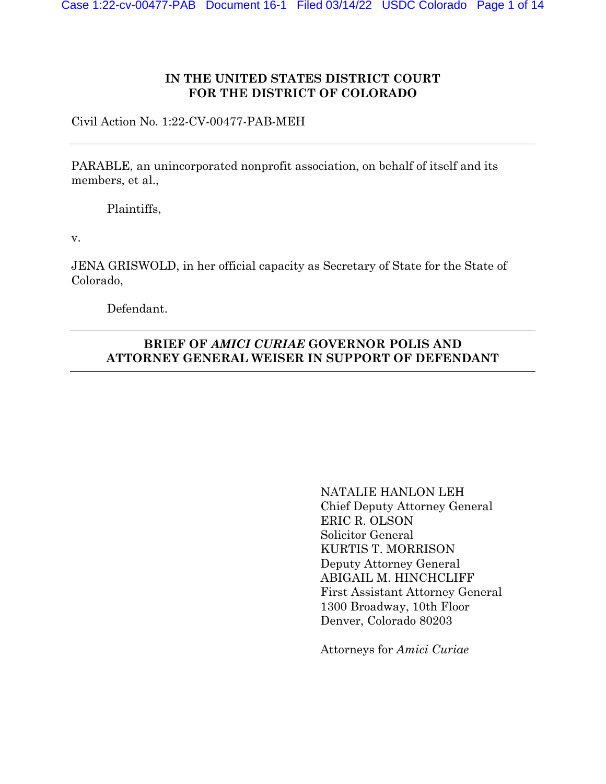### **IN THE UNITED STATES DISTRICT COURT FOR THE DISTRICT OF COLORADO**

Civil Action No. 1:22-CV-00477-PAB-MEH

PARABLE, an unincorporated nonprofit association, on behalf of itself and its members, et al.,

Plaintiffs,

v.

JENA GRISWOLD, in her official capacity as Secretary of State for the State of Colorado,

Defendant.

## **BRIEF OF** *AMICI CURIAE* **GOVERNOR POLIS AND ATTORNEY GENERAL WEISER IN SUPPORT OF DEFENDANT**

NATALIE HANLON LEH Chief Deputy Attorney General ERIC R. OLSON Solicitor General KURTIS T. MORRISON Deputy Attorney General ABIGAIL M. HINCHCLIFF First Assistant Attorney General 1300 Broadway, 10th Floor Denver, Colorado 80203

Attorneys for *Amici Curiae*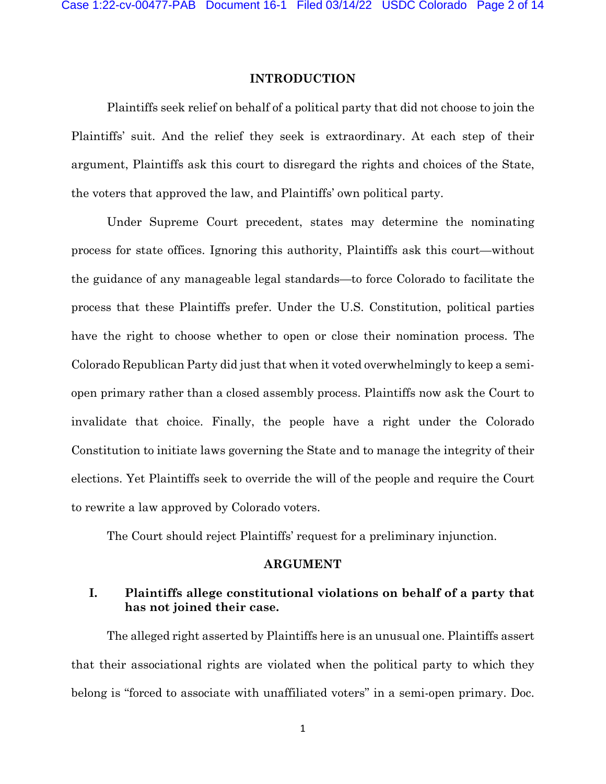#### **INTRODUCTION**

Plaintiffs seek relief on behalf of a political party that did not choose to join the Plaintiffs' suit. And the relief they seek is extraordinary. At each step of their argument, Plaintiffs ask this court to disregard the rights and choices of the State, the voters that approved the law, and Plaintiffs' own political party.

Under Supreme Court precedent, states may determine the nominating process for state offices. Ignoring this authority, Plaintiffs ask this court—without the guidance of any manageable legal standards—to force Colorado to facilitate the process that these Plaintiffs prefer. Under the U.S. Constitution, political parties have the right to choose whether to open or close their nomination process. The Colorado Republican Party did just that when it voted overwhelmingly to keep a semiopen primary rather than a closed assembly process. Plaintiffs now ask the Court to invalidate that choice. Finally, the people have a right under the Colorado Constitution to initiate laws governing the State and to manage the integrity of their elections. Yet Plaintiffs seek to override the will of the people and require the Court to rewrite a law approved by Colorado voters.

The Court should reject Plaintiffs' request for a preliminary injunction.

#### **ARGUMENT**

## **I. Plaintiffs allege constitutional violations on behalf of a party that has not joined their case.**

The alleged right asserted by Plaintiffs here is an unusual one. Plaintiffs assert that their associational rights are violated when the political party to which they belong is "forced to associate with unaffiliated voters" in a semi-open primary. Doc.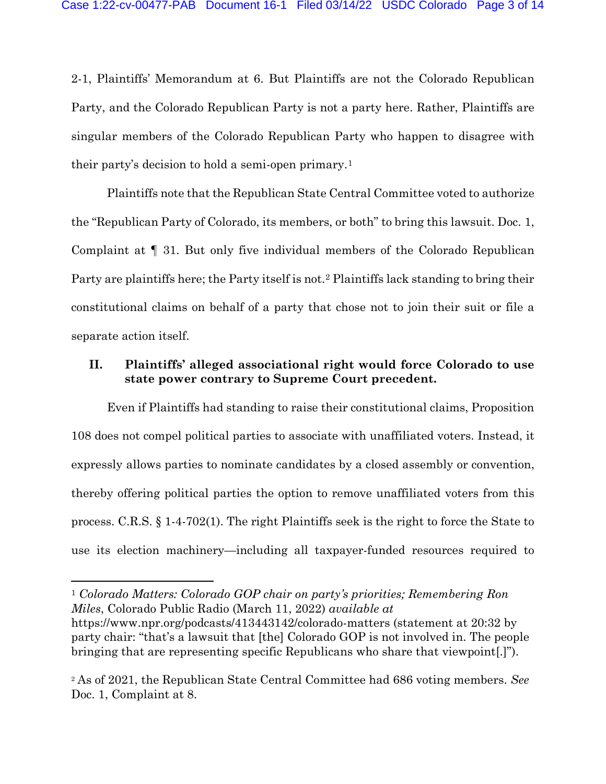2-1, Plaintiffs' Memorandum at 6. But Plaintiffs are not the Colorado Republican Party, and the Colorado Republican Party is not a party here. Rather, Plaintiffs are singular members of the Colorado Republican Party who happen to disagree with their party's decision to hold a semi-open primary.[1](#page-2-0)

Plaintiffs note that the Republican State Central Committee voted to authorize the "Republican Party of Colorado, its members, or both" to bring this lawsuit. Doc. 1, Complaint at ¶ 31. But only five individual members of the Colorado Republican Party are plaintiffs here; the Party itself is not.[2](#page-2-1) Plaintiffs lack standing to bring their constitutional claims on behalf of a party that chose not to join their suit or file a separate action itself.

### **II. Plaintiffs' alleged associational right would force Colorado to use state power contrary to Supreme Court precedent.**

Even if Plaintiffs had standing to raise their constitutional claims, Proposition 108 does not compel political parties to associate with unaffiliated voters. Instead, it expressly allows parties to nominate candidates by a closed assembly or convention, thereby offering political parties the option to remove unaffiliated voters from this process. C.R.S. § 1-4-702(1). The right Plaintiffs seek is the right to force the State to use its election machinery—including all taxpayer-funded resources required to

<span id="page-2-0"></span><sup>1</sup> *Colorado Matters: Colorado GOP chair on party's priorities; Remembering Ron Miles*, Colorado Public Radio (March 11, 2022) *available at*  https://www.npr.org/podcasts/413443142/colorado-matters (statement at 20:32 by party chair: "that's a lawsuit that [the] Colorado GOP is not involved in. The people bringing that are representing specific Republicans who share that viewpoint[.]").

<span id="page-2-1"></span><sup>2</sup> As of 2021, the Republican State Central Committee had 686 voting members. *See*  Doc. 1, Complaint at 8.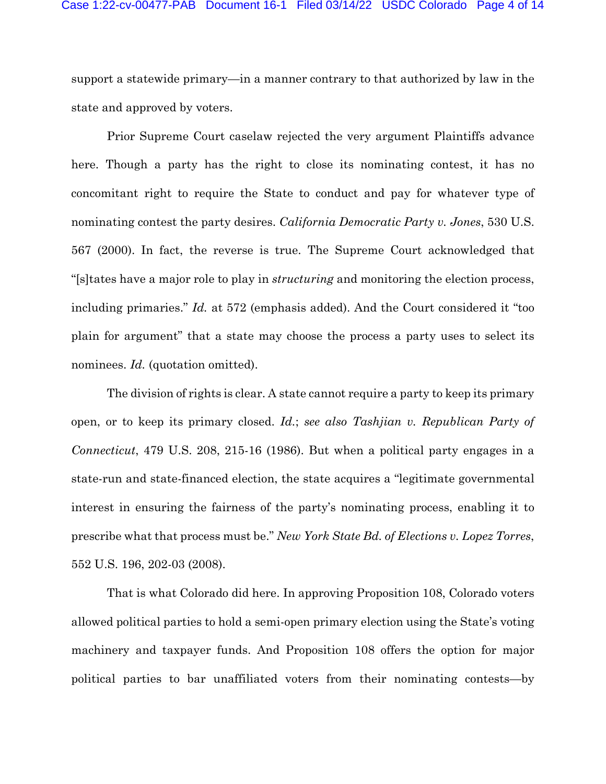support a statewide primary—in a manner contrary to that authorized by law in the state and approved by voters.

Prior Supreme Court caselaw rejected the very argument Plaintiffs advance here. Though a party has the right to close its nominating contest, it has no concomitant right to require the State to conduct and pay for whatever type of nominating contest the party desires. *California Democratic Party v. Jones*, 530 U.S. 567 (2000). In fact, the reverse is true. The Supreme Court acknowledged that "[s]tates have a major role to play in *structuring* and monitoring the election process, including primaries." *Id.* at 572 (emphasis added). And the Court considered it "too plain for argument" that a state may choose the process a party uses to select its nominees. *Id.* (quotation omitted).

The division of rights is clear. A state cannot require a party to keep its primary open, or to keep its primary closed. *Id.*; *see also Tashjian v. Republican Party of Connecticut*, 479 U.S. 208, 215-16 (1986). But when a political party engages in a state-run and state-financed election, the state acquires a "legitimate governmental interest in ensuring the fairness of the party's nominating process, enabling it to prescribe what that process must be." *New York State Bd. of Elections v. Lopez Torres*, 552 U.S. 196, 202-03 (2008).

That is what Colorado did here. In approving Proposition 108, Colorado voters allowed political parties to hold a semi-open primary election using the State's voting machinery and taxpayer funds. And Proposition 108 offers the option for major political parties to bar unaffiliated voters from their nominating contests—by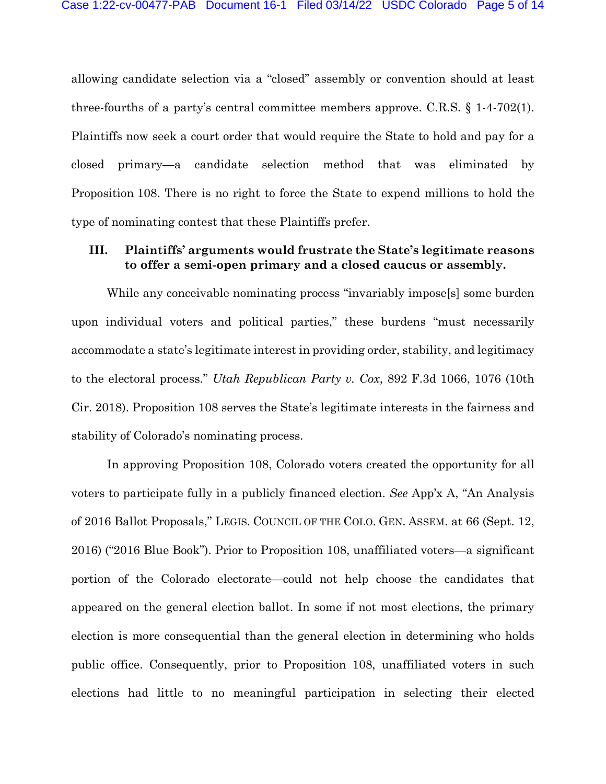allowing candidate selection via a "closed" assembly or convention should at least three-fourths of a party's central committee members approve. C.R.S. § 1-4-702(1). Plaintiffs now seek a court order that would require the State to hold and pay for a closed primary—a candidate selection method that was eliminated by Proposition 108. There is no right to force the State to expend millions to hold the type of nominating contest that these Plaintiffs prefer.

#### **III. Plaintiffs' arguments would frustrate the State's legitimate reasons to offer a semi-open primary and a closed caucus or assembly.**

While any conceivable nominating process "invariably impose[s] some burden upon individual voters and political parties," these burdens "must necessarily accommodate a state's legitimate interest in providing order, stability, and legitimacy to the electoral process." *Utah Republican Party v. Cox*, 892 F.3d 1066, 1076 (10th Cir. 2018). Proposition 108 serves the State's legitimate interests in the fairness and stability of Colorado's nominating process.

In approving Proposition 108, Colorado voters created the opportunity for all voters to participate fully in a publicly financed election. *See* App'x A, "An Analysis of 2016 Ballot Proposals," LEGIS. COUNCIL OF THE COLO. GEN. ASSEM. at 66 (Sept. 12, 2016) ("2016 Blue Book"). Prior to Proposition 108, unaffiliated voters—a significant portion of the Colorado electorate—could not help choose the candidates that appeared on the general election ballot. In some if not most elections, the primary election is more consequential than the general election in determining who holds public office. Consequently, prior to Proposition 108, unaffiliated voters in such elections had little to no meaningful participation in selecting their elected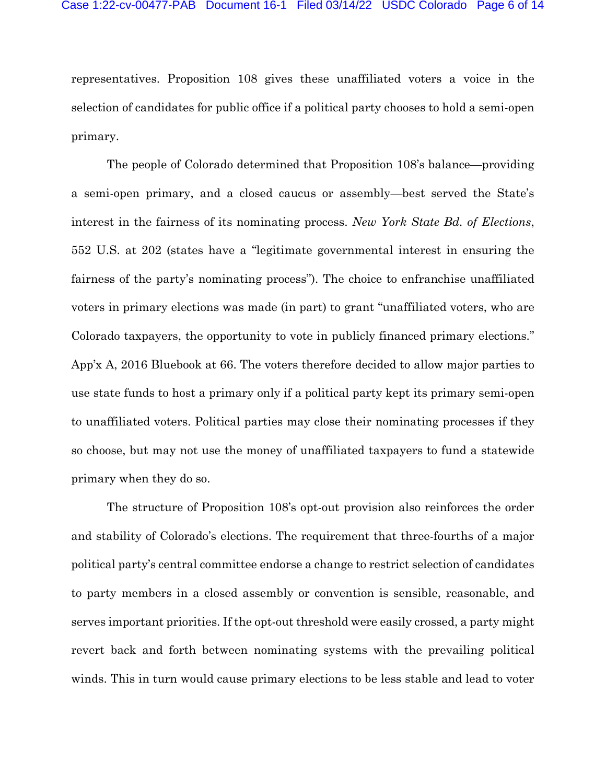representatives. Proposition 108 gives these unaffiliated voters a voice in the selection of candidates for public office if a political party chooses to hold a semi-open primary.

The people of Colorado determined that Proposition 108's balance—providing a semi-open primary, and a closed caucus or assembly—best served the State's interest in the fairness of its nominating process. *New York State Bd. of Elections*, 552 U.S. at 202 (states have a "legitimate governmental interest in ensuring the fairness of the party's nominating process"). The choice to enfranchise unaffiliated voters in primary elections was made (in part) to grant "unaffiliated voters, who are Colorado taxpayers, the opportunity to vote in publicly financed primary elections." App'x A, 2016 Bluebook at 66. The voters therefore decided to allow major parties to use state funds to host a primary only if a political party kept its primary semi-open to unaffiliated voters. Political parties may close their nominating processes if they so choose, but may not use the money of unaffiliated taxpayers to fund a statewide primary when they do so.

The structure of Proposition 108's opt-out provision also reinforces the order and stability of Colorado's elections. The requirement that three-fourths of a major political party's central committee endorse a change to restrict selection of candidates to party members in a closed assembly or convention is sensible, reasonable, and serves important priorities. If the opt-out threshold were easily crossed, a party might revert back and forth between nominating systems with the prevailing political winds. This in turn would cause primary elections to be less stable and lead to voter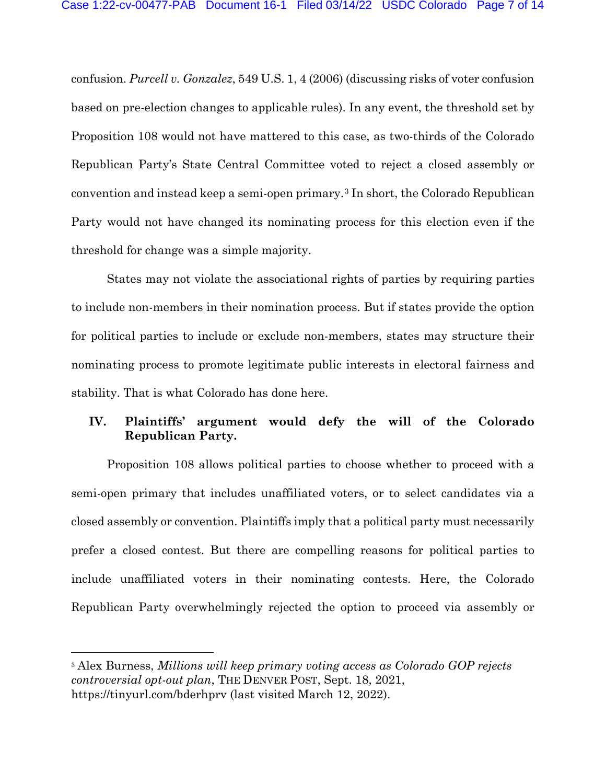confusion. *Purcell v. Gonzalez*, 549 U.S. 1, 4 (2006) (discussing risks of voter confusion based on pre-election changes to applicable rules). In any event, the threshold set by Proposition 108 would not have mattered to this case, as two-thirds of the Colorado Republican Party's State Central Committee voted to reject a closed assembly or convention and instead keep a semi-open primary.[3](#page-6-0) In short, the Colorado Republican Party would not have changed its nominating process for this election even if the threshold for change was a simple majority.

States may not violate the associational rights of parties by requiring parties to include non-members in their nomination process. But if states provide the option for political parties to include or exclude non-members, states may structure their nominating process to promote legitimate public interests in electoral fairness and stability. That is what Colorado has done here.

## **IV. Plaintiffs' argument would defy the will of the Colorado Republican Party.**

Proposition 108 allows political parties to choose whether to proceed with a semi-open primary that includes unaffiliated voters, or to select candidates via a closed assembly or convention. Plaintiffs imply that a political party must necessarily prefer a closed contest. But there are compelling reasons for political parties to include unaffiliated voters in their nominating contests. Here, the Colorado Republican Party overwhelmingly rejected the option to proceed via assembly or

<span id="page-6-0"></span><sup>3</sup> Alex Burness, *Millions will keep primary voting access as Colorado GOP rejects controversial opt-out plan*, THE DENVER POST, Sept. 18, 2021, https://tinyurl.com/bderhprv (last visited March 12, 2022).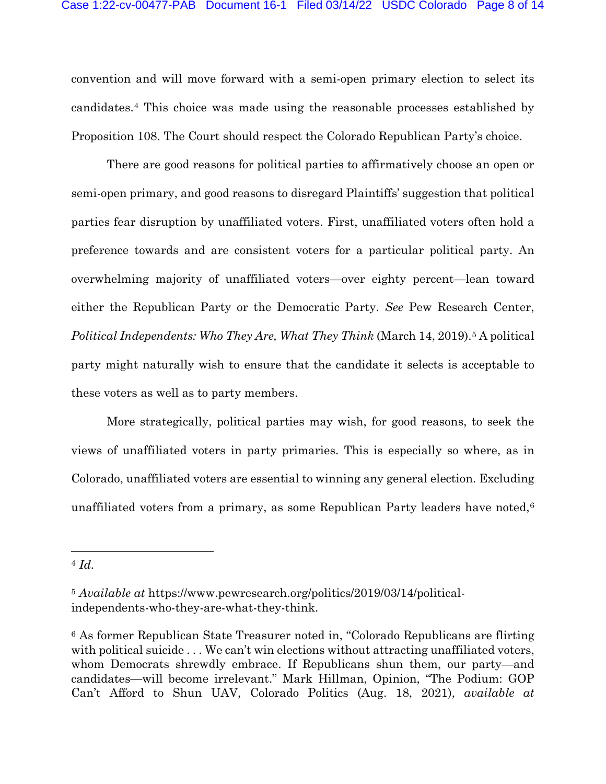convention and will move forward with a semi-open primary election to select its candidates.[4](#page-7-0) This choice was made using the reasonable processes established by Proposition 108. The Court should respect the Colorado Republican Party's choice.

There are good reasons for political parties to affirmatively choose an open or semi-open primary, and good reasons to disregard Plaintiffs' suggestion that political parties fear disruption by unaffiliated voters. First, unaffiliated voters often hold a preference towards and are consistent voters for a particular political party. An overwhelming majority of unaffiliated voters—over eighty percent—lean toward either the Republican Party or the Democratic Party. *See* Pew Research Center, *Political Independents: Who They Are, What They Think* (March 14, 2019).<sup>[5](#page-7-1)</sup> A political party might naturally wish to ensure that the candidate it selects is acceptable to these voters as well as to party members.

More strategically, political parties may wish, for good reasons, to seek the views of unaffiliated voters in party primaries. This is especially so where, as in Colorado, unaffiliated voters are essential to winning any general election. Excluding unaffiliated voters from a primary, as some Republican Party leaders have noted, $6$ 

<span id="page-7-0"></span><sup>4</sup> *Id.*

<span id="page-7-1"></span><sup>5</sup> *Available at* https://www.pewresearch.org/politics/2019/03/14/politicalindependents-who-they-are-what-they-think.

<span id="page-7-2"></span><sup>6</sup> As former Republican State Treasurer noted in, "Colorado Republicans are flirting with political suicide . . . We can't win elections without attracting unaffiliated voters, whom Democrats shrewdly embrace. If Republicans shun them, our party—and candidates—will become irrelevant." Mark Hillman, Opinion, "The Podium: GOP Can't Afford to Shun UAV, Colorado Politics (Aug. 18, 2021), *available at*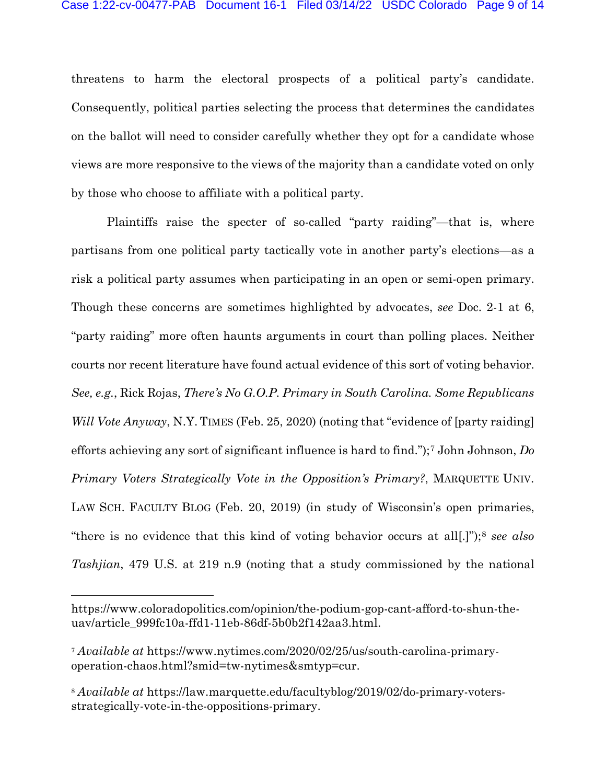threatens to harm the electoral prospects of a political party's candidate. Consequently, political parties selecting the process that determines the candidates on the ballot will need to consider carefully whether they opt for a candidate whose views are more responsive to the views of the majority than a candidate voted on only by those who choose to affiliate with a political party.

Plaintiffs raise the specter of so-called "party raiding"—that is, where partisans from one political party tactically vote in another party's elections—as a risk a political party assumes when participating in an open or semi-open primary. Though these concerns are sometimes highlighted by advocates, *see* Doc. 2-1 at 6, "party raiding" more often haunts arguments in court than polling places. Neither courts nor recent literature have found actual evidence of this sort of voting behavior. *See, e.g.*, Rick Rojas, *There's No G.O.P. Primary in South Carolina. Some Republicans Will Vote Anyway*, N.Y. TIMES (Feb. 25, 2020) (noting that "evidence of [party raiding] efforts achieving any sort of significant influence is hard to find.");[7](#page-8-0) John Johnson, *Do Primary Voters Strategically Vote in the Opposition's Primary?*, MARQUETTE UNIV. LAW SCH. FACULTY BLOG (Feb. 20, 2019) (in study of Wisconsin's open primaries, "there is no evidence that this kind of voting behavior occurs at all[.]");[8](#page-8-1) *see also Tashjian*, 479 U.S. at 219 n.9 (noting that a study commissioned by the national

https://www.coloradopolitics.com/opinion/the-podium-gop-cant-afford-to-shun-theuav/article\_999fc10a-ffd1-11eb-86df-5b0b2f142aa3.html.

<span id="page-8-0"></span><sup>7</sup> *Available at* https://www.nytimes.com/2020/02/25/us/south-carolina-primaryoperation-chaos.html?smid=tw-nytimes&smtyp=cur.

<span id="page-8-1"></span><sup>8</sup> *Available at* https://law.marquette.edu/facultyblog/2019/02/do-primary-votersstrategically-vote-in-the-oppositions-primary.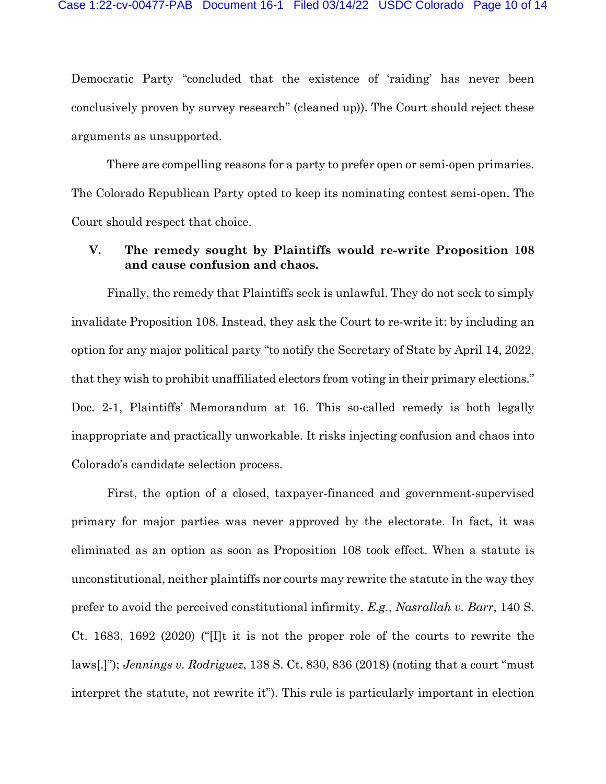Democratic Party "concluded that the existence of 'raiding' has never been conclusively proven by survey research" (cleaned up)). The Court should reject these arguments as unsupported.

There are compelling reasons for a party to prefer open or semi-open primaries. The Colorado Republican Party opted to keep its nominating contest semi-open. The Court should respect that choice.

### **V. The remedy sought by Plaintiffs would re-write Proposition 108 and cause confusion and chaos.**

Finally, the remedy that Plaintiffs seek is unlawful. They do not seek to simply invalidate Proposition 108. Instead, they ask the Court to re-write it: by including an option for any major political party "to notify the Secretary of State by April 14, 2022, that they wish to prohibit unaffiliated electors from voting in their primary elections." Doc. 2-1, Plaintiffs' Memorandum at 16. This so-called remedy is both legally inappropriate and practically unworkable. It risks injecting confusion and chaos into Colorado's candidate selection process.

First, the option of a closed, taxpayer-financed and government-supervised primary for major parties was never approved by the electorate. In fact, it was eliminated as an option as soon as Proposition 108 took effect. When a statute is unconstitutional, neither plaintiffs nor courts may rewrite the statute in the way they prefer to avoid the perceived constitutional infirmity. *E.g.*, *Nasrallah v. Barr*, 140 S. Ct. 1683, 1692 (2020) ("[I]t it is not the proper role of the courts to rewrite the laws[.]"); *Jennings v. Rodriguez*, 138 S. Ct. 830, 836 (2018) (noting that a court "must interpret the statute, not rewrite it"). This rule is particularly important in election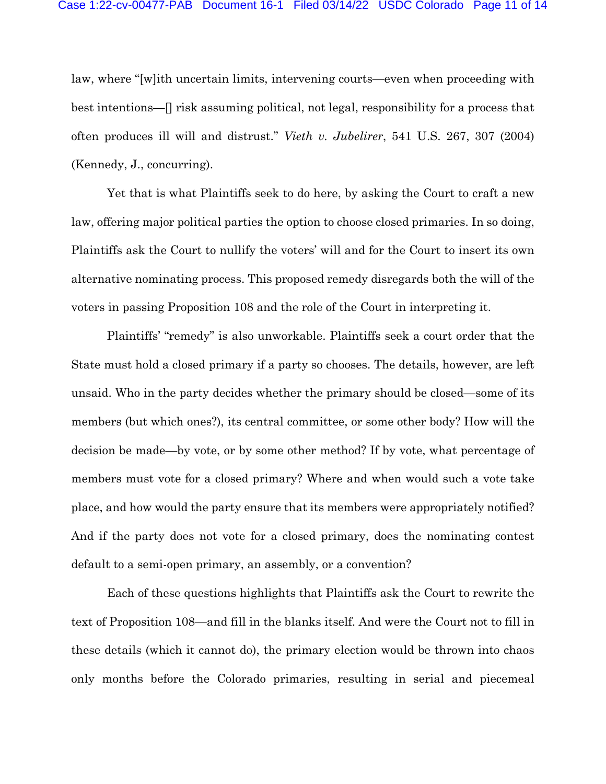law, where "[w]ith uncertain limits, intervening courts—even when proceeding with best intentions—[] risk assuming political, not legal, responsibility for a process that often produces ill will and distrust." *Vieth v. Jubelirer*, 541 U.S. 267, 307 (2004) (Kennedy, J., concurring).

Yet that is what Plaintiffs seek to do here, by asking the Court to craft a new law, offering major political parties the option to choose closed primaries. In so doing, Plaintiffs ask the Court to nullify the voters' will and for the Court to insert its own alternative nominating process. This proposed remedy disregards both the will of the voters in passing Proposition 108 and the role of the Court in interpreting it.

Plaintiffs' "remedy" is also unworkable. Plaintiffs seek a court order that the State must hold a closed primary if a party so chooses. The details, however, are left unsaid. Who in the party decides whether the primary should be closed—some of its members (but which ones?), its central committee, or some other body? How will the decision be made—by vote, or by some other method? If by vote, what percentage of members must vote for a closed primary? Where and when would such a vote take place, and how would the party ensure that its members were appropriately notified? And if the party does not vote for a closed primary, does the nominating contest default to a semi-open primary, an assembly, or a convention?

Each of these questions highlights that Plaintiffs ask the Court to rewrite the text of Proposition 108—and fill in the blanks itself. And were the Court not to fill in these details (which it cannot do), the primary election would be thrown into chaos only months before the Colorado primaries, resulting in serial and piecemeal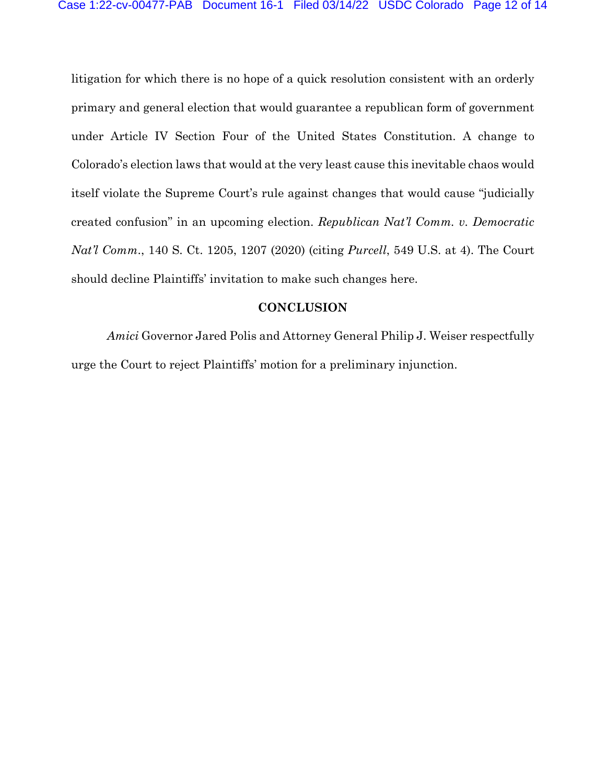litigation for which there is no hope of a quick resolution consistent with an orderly primary and general election that would guarantee a republican form of government under Article IV Section Four of the United States Constitution. A change to Colorado's election laws that would at the very least cause this inevitable chaos would itself violate the Supreme Court's rule against changes that would cause "judicially created confusion" in an upcoming election. *Republican Nat'l Comm. v. Democratic Nat'l Comm*., 140 S. Ct. 1205, 1207 (2020) (citing *Purcell*, 549 U.S. at 4). The Court should decline Plaintiffs' invitation to make such changes here.

#### **CONCLUSION**

*Amici* Governor Jared Polis and Attorney General Philip J. Weiser respectfully urge the Court to reject Plaintiffs' motion for a preliminary injunction.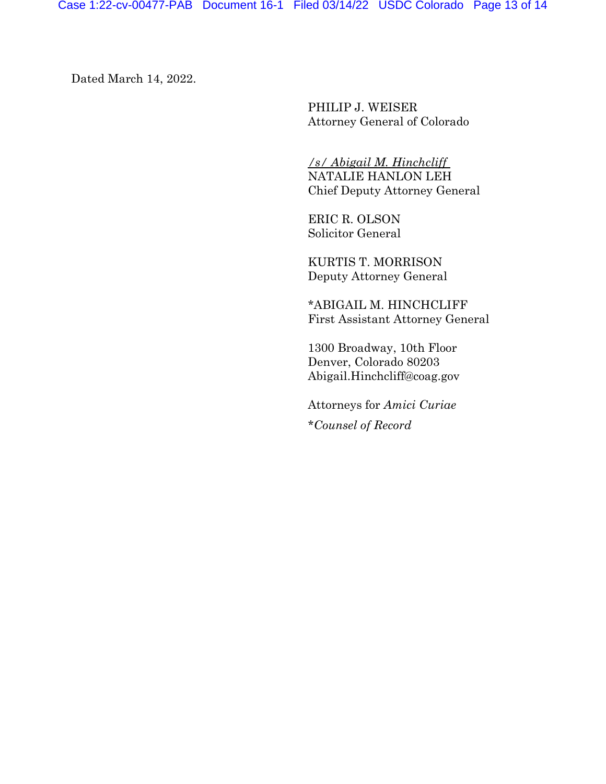Dated March 14, 2022.

PHILIP J. WEISER Attorney General of Colorado

*/s/ Abigail M. Hinchcliff* NATALIE HANLON LEH Chief Deputy Attorney General

ERIC R. OLSON Solicitor General

KURTIS T. MORRISON Deputy Attorney General

\*ABIGAIL M. HINCHCLIFF First Assistant Attorney General

1300 Broadway, 10th Floor Denver, Colorado 80203 Abigail.Hinchcliff@coag.gov

Attorneys for *Amici Curiae* \**Counsel of Record*